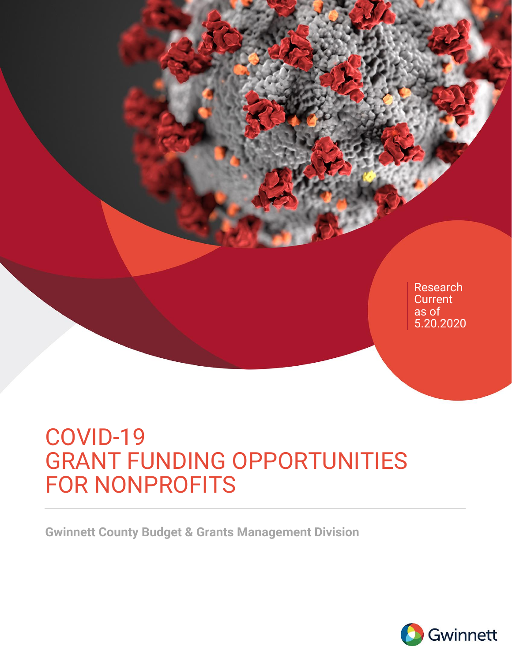

# COVID-19 GRANT FUNDING OPPORTUNITIES FOR NONPROFITS

**Gwinnett County Budget & Grants Management Division** 

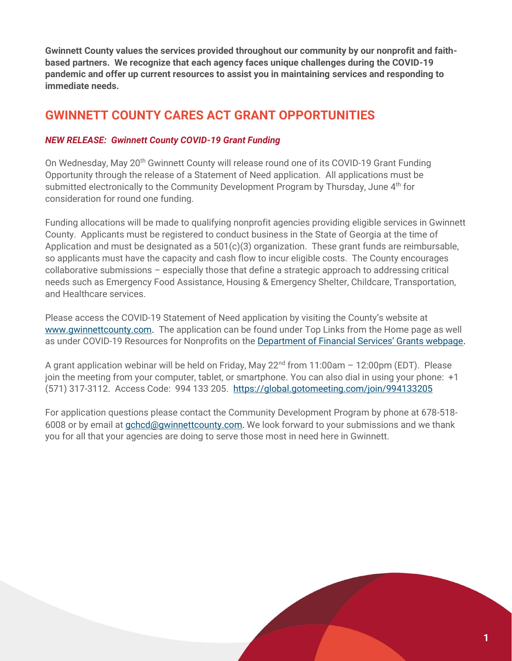**Gwinnett County values the services provided throughout our community by our nonprofit and faithbased partners. We recognize that each agency faces unique challenges during the COVID-19 pandemic and offer up current resources to assist you in maintaining services and responding to immediate needs.** 

# **GWINNETT COUNTY CARES ACT GRANT OPPORTUNITIES**

## *NEW RELEASE: Gwinnett County COVID-19 Grant Funding*

On Wednesday, May 20<sup>th</sup> Gwinnett County will release round one of its COVID-19 Grant Funding Opportunity through the release of a Statement of Need application. All applications must be submitted electronically to the Community Development Program by Thursday, June  $4<sup>th</sup>$  for consideration for round one funding.

Funding allocations will be made to qualifying nonprofit agencies providing eligible services in Gwinnett County. Applicants must be registered to conduct business in the State of Georgia at the time of Application and must be designated as a 501(c)(3) organization. These grant funds are reimbursable, so applicants must have the capacity and cash flow to incur eligible costs. The County encourages collaborative submissions – especially those that define a strategic approach to addressing critical needs such as Emergency Food Assistance, Housing & Emergency Shelter, Childcare, Transportation, and Healthcare services.

Please access the COVID-19 Statement of Need application by visiting the County's website at [www.gwinnettcounty.com.](http://www.gwinnettcounty.com/) The application can be found under Top Links from the Home page as well as under COVID-19 Resources for Nonprofits on the [Department of Financial Services' Grants webpage](https://www.gwinnettcounty.com/web/gwinnett/departments/financialservices/servicedivision/grants).

A grant application webinar will be held on Friday, May 22<sup>nd</sup> from 11:00am - 12:00pm (EDT). Please join the meeting from your computer, tablet, or smartphone. You can also dial in using your phone: +1 (571) 317-3112. Access Code: 994 133 205. <https://global.gotomeeting.com/join/994133205>

For application questions please contact the Community Development Program by phone at 678-518- 6008 or by email at *gchcd@gwinnettcounty.com*. We look forward to your submissions and we thank you for all that your agencies are doing to serve those most in need here in Gwinnett.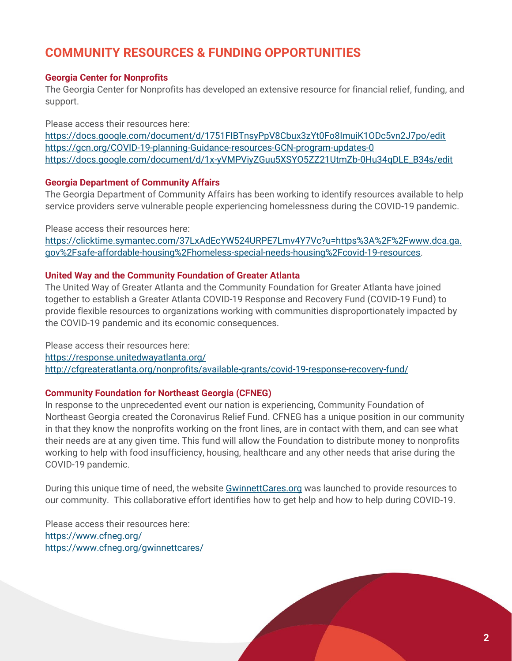# **COMMUNITY RESOURCES & FUNDING OPPORTUNITIES**

#### **Georgia Center for Nonprofits**

The Georgia Center for Nonprofits has developed an extensive resource for financial relief, funding, and support.

Please access their resources here:

<https://docs.google.com/document/d/1751FIBTnsyPpV8Cbux3zYt0Fo8ImuiK1ODc5vn2J7po/edit> <https://gcn.org/COVID-19-planning-Guidance-resources-GCN-program-updates-0> [https://docs.google.com/document/d/1x-yVMPViyZGuu5XSYO5ZZ21UtmZb-0Hu34qDLE\\_B34s/edit](https://docs.google.com/document/d/1x-yVMPViyZGuu5XSYO5ZZ21UtmZb-0Hu34qDLE_B34s/edit)

#### **Georgia Department of Community Affairs**

The Georgia Department of Community Affairs has been working to identify resources available to help service providers serve vulnerable people experiencing homelessness during the COVID-19 pandemic.

Please access their resources here: [https://clicktime.symantec.com/37LxAdEcYW524URPE7Lmv4Y7Vc?u=https%3A%2F%2Fwww.dca.ga.](https://clicktime.symantec.com/37LxAdEcYW524URPE7Lmv4Y7Vc?u=https%3A%2F%2Fwww.dca.ga.gov%2Fsafe-affordable-housing%2Fhomeless-special-needs-housing%2Fcovid-19-resources) [gov%2Fsafe-affordable-housing%2Fhomeless-special-needs-housing%2Fcovid-19-resources.](https://clicktime.symantec.com/37LxAdEcYW524URPE7Lmv4Y7Vc?u=https%3A%2F%2Fwww.dca.ga.gov%2Fsafe-affordable-housing%2Fhomeless-special-needs-housing%2Fcovid-19-resources)

#### **United Way and the Community Foundation of Greater Atlanta**

The United Way of Greater Atlanta and the Community Foundation for Greater Atlanta have joined together to establish a Greater Atlanta COVID-19 Response and Recovery Fund (COVID-19 Fund) to provide flexible resources to organizations working with communities disproportionately impacted by the COVID-19 pandemic and its economic consequences.

Please access their resources here: <https://response.unitedwayatlanta.org/> <http://cfgreateratlanta.org/nonprofits/available-grants/covid-19-response-recovery-fund/>

#### **Community Foundation for Northeast Georgia (CFNEG)**

In response to the unprecedented event our nation is experiencing, Community Foundation of Northeast Georgia created the Coronavirus Relief Fund. CFNEG has a unique position in our community in that they know the nonprofits working on the front lines, are in contact with them, and can see what their needs are at any given time. This fund will allow the Foundation to distribute money to nonprofits working to help with food insufficiency, housing, healthcare and any other needs that arise during the COVID-19 pandemic.

During this unique time of need, the website [GwinnettCares.org](https://www.cfneg.org/gwinnettcares/) was launched to provide resources to our community. This collaborative effort identifies how to get help and how to help during COVID-19.

Please access their resources here: <https://www.cfneg.org/> <https://www.cfneg.org/gwinnettcares/>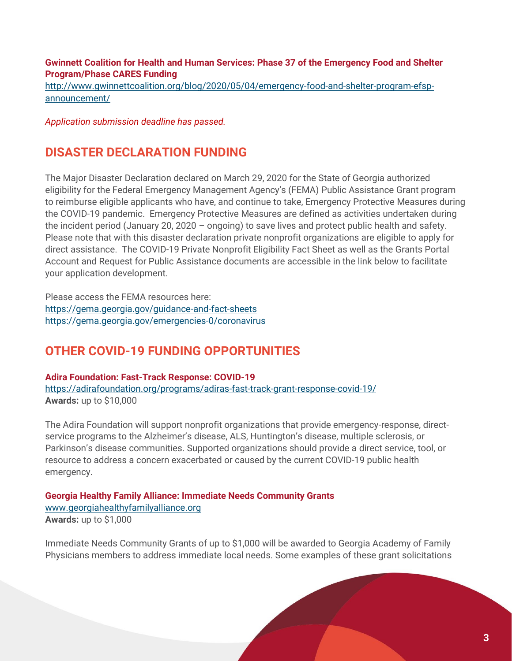### **Gwinnett Coalition for Health and Human Services: Phase 37 of the Emergency Food and Shelter Program/Phase CARES Funding**

[http://www.gwinnettcoalition.org/blog/2020/05/04/emergency-food-and-shelter-program-efsp](http://www.gwinnettcoalition.org/blog/2020/05/04/emergency-food-and-shelter-program-efsp-announcement/)[announcement/](http://www.gwinnettcoalition.org/blog/2020/05/04/emergency-food-and-shelter-program-efsp-announcement/)

*Application submission deadline has passed.*

## **DISASTER DECLARATION FUNDING**

The Major Disaster Declaration declared on March 29, 2020 for the State of Georgia authorized eligibility for the Federal Emergency Management Agency's (FEMA) Public Assistance Grant program to reimburse eligible applicants who have, and continue to take, Emergency Protective Measures during the COVID-19 pandemic. Emergency Protective Measures are defined as activities undertaken during the incident period (January 20, 2020 – ongoing) to save lives and protect public health and safety. Please note that with this disaster declaration private nonprofit organizations are eligible to apply for direct assistance. The COVID-19 Private Nonprofit Eligibility Fact Sheet as well as the Grants Portal Account and Request for Public Assistance documents are accessible in the link below to facilitate your application development.

Please access the FEMA resources here: <https://gema.georgia.gov/guidance-and-fact-sheets> https://gema.georgia.gov/emergencies-0/coronavirus

## **OTHER COVID-19 FUNDING OPPORTUNITIES**

**[Adira Foundation: Fast-Track Response: COVID-19](https://adirafoundation.org/programs/adiras-fast-track-grant-response-covid-19/)** <https://adirafoundation.org/programs/adiras-fast-track-grant-response-covid-19/> **Awards:** up to \$10,000

The Adira Foundation will support nonprofit organizations that provide emergency-response, directservice programs to the Alzheimer's disease, ALS, Huntington's disease, multiple sclerosis, or Parkinson's disease communities. Supported organizations should provide a direct service, tool, or resource to address a concern exacerbated or caused by the current COVID-19 public health emergency.

**[Georgia Healthy Family Alliance: Immediate Needs Community Grants](http://www.georgiahealthyfamilyalliance.org/)**  [www.georgiahealthyfamilyalliance.org](http://www.georgiahealthyfamilyalliance.org/) **Awards:** up to \$1,000

Immediate Needs Community Grants of up to \$1,000 will be awarded to Georgia Academy of Family Physicians members to address immediate local needs. Some examples of these grant solicitations